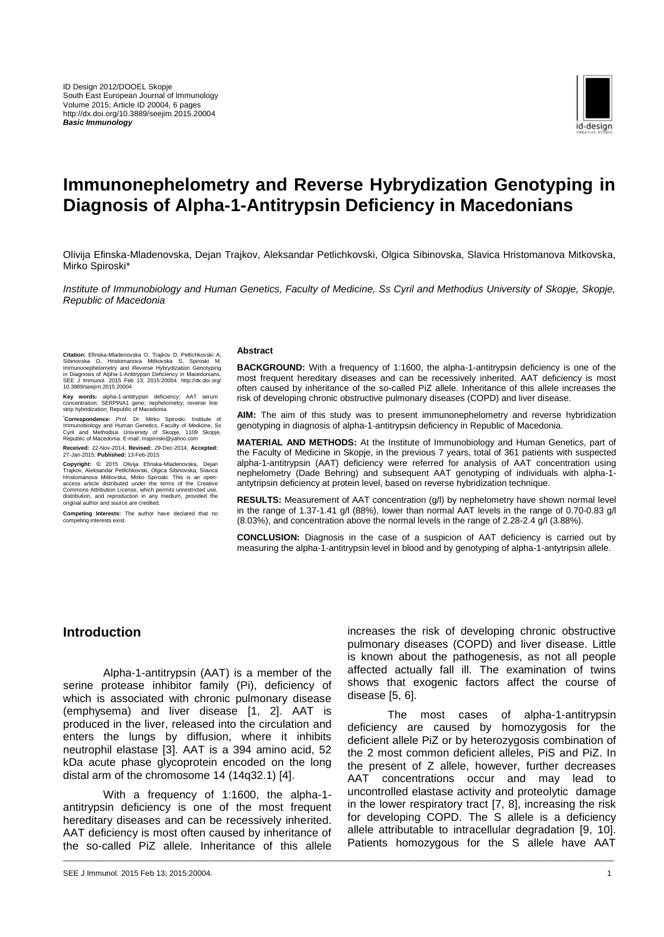

# **Immunonephelometry and Reverse Hybrydization Genotyping in Diagnosis of Alpha-1-Antitrypsin Deficiency in Macedonians**

Olivija Efinska-Mladenovska, Dejan Trajkov, Aleksandar Petlichkovski, Olgica Sibinovska, Slavica Hristomanova Mitkovska, Mirko Spiroski\*

*Institute of Immunobiology and Human Genetics, Faculty of Medicine, Ss Cyril and Methodius University of Skopje, Skopje, Republic of Macedonia*

\_\_\_\_\_\_\_\_\_\_\_\_\_\_\_\_\_\_\_\_\_\_\_\_\_\_\_\_\_\_\_\_\_\_\_\_\_\_\_\_\_\_\_\_\_\_\_\_\_\_\_\_\_\_\_\_\_\_\_\_\_\_\_\_\_\_\_\_\_\_\_\_\_\_\_\_\_\_\_\_\_\_\_\_\_\_\_\_\_\_\_\_\_\_\_\_\_\_\_\_\_\_\_\_\_\_\_\_\_\_\_\_\_\_\_\_\_\_\_\_\_\_\_\_\_\_\_

Citation: Efinska-Mladenovska O, Trajkov D, Petlichkovski A, Sibinovska O, Hristomanova Mitkovska S, Spiroski M.<br>Sibinovska O, Hristomanova Mitkovska S, Spiroski M.<br>Immunonephelometry and Reverse Hybrydization Genotyping<br>S

**Key words:** alpha-1-antitrypsin deficiency; AAT serum concentration; SERPINA1 gene; nephelometry; reverse line strip hybridization; Republic of Macedonia.

**\*Correspondence:** Prof. Dr. Mirko Spiroski. Institute of Immunobiology and Human Genetics, Faculty of Medicine, Ss Cyril and Methodius University of Skopje, 1109 Skopje, Republic of Macedonia. E-mail: mspiroski@yahoo.com

**Received:** 22-Nov-2014; **Revised:** 29-Dec-2014; **Accepted:** 27-Jan-2015; **Published:** 13-Feb-2015

Copyright: © 2015 Olivija Efinska-Madenovska, Dejan<br>Trajkov, Aleksandar Petlichkovski, Olgica Sibinovska, Slavica<br>Hristomanova Mitkovska, Mirko Spiroski. This is an open-access article distributed under the terms of the Cr

**Competing Interests:** The author have declared that no competing interests exist.

#### **Abstract**

**BACKGROUND:** With a frequency of 1:1600, the alpha-1-antitrypsin deficiency is one of the most frequent hereditary diseases and can be recessively inherited. AAT deficiency is most often caused by inheritance of the so-called PiZ allele. Inheritance of this allele increases the risk of developing chronic obstructive pulmonary diseases (COPD) and liver disease.

**AIM:** The aim of this study was to present immunonephelometry and reverse hybridization genotyping in diagnosis of alpha-1-antitrypsin deficiency in Republic of Macedonia.

**MATERIAL AND METHODS:** At the Institute of Immunobiology and Human Genetics, part of the Faculty of Medicine in Skopje, in the previous 7 years, total of 361 patients with suspected alpha-1-antitrypsin (AAT) deficiency were referred for analysis of AAT concentration using nephelometry (Dade Behring) and subsequent AAT genotyping of individuals with alpha-1 antytripsin deficiency at protein level, based on reverse hybridization technique.

**RESULTS:** Measurement of AAT concentration (g/l) by nephelometry have shown normal level in the range of 1.37-1.41 g/l (88%), lower than normal AAT levels in the range of 0.70-0.83 g/l (8.03%), and concentration above the normal levels in the range of 2.28-2.4 g/l (3.88%).

**CONCLUSION:** Diagnosis in the case of a suspicion of AAT deficiency is carried out by measuring the alpha-1-antitrypsin level in blood and by genotyping of alpha-1-antytripsin allele.

## **Introduction**

Alpha-1-antitrypsin (AAT) is a member of the serine protease inhibitor family (Pi), deficiency of which is associated with chronic pulmonary disease (emphysema) and liver disease [1, 2]. AAT is produced in the liver, released into the circulation and enters the lungs by diffusion, where it inhibits neutrophil elastase [3]. AAT is a 394 amino acid, 52 kDa acute phase glycoprotein encoded on the long distal arm of the chromosome 14 (14q32.1) [4].

With a frequency of 1:1600, the alpha-1 antitrypsin deficiency is one of the most frequent hereditary diseases and can be recessively inherited. AAT deficiency is most often caused by inheritance of the so-called PiZ allele. Inheritance of this allele

SEE J Immunol. 2015 Feb 13; 2015:20004. 1

increases the risk of developing chronic obstructive pulmonary diseases (COPD) and liver disease. Little is known about the pathogenesis, as not all people affected actually fall ill. The examination of twins shows that exogenic factors affect the course of disease [5, 6].

The most cases of alpha-1-antitrypsin deficiency are caused by homozygosis for the deficient allele PiZ or by heterozygosis combination of the 2 most common deficient alleles, PiS and PiZ. In the present of Z allele, however, further decreases AAT concentrations occur and may lead to uncontrolled elastase activity and proteolytic damage in the lower respiratory tract [7, 8], increasing the risk for developing COPD. The S allele is a deficiency allele attributable to intracellular degradation [9, 10]. Patients homozygous for the S allele have AAT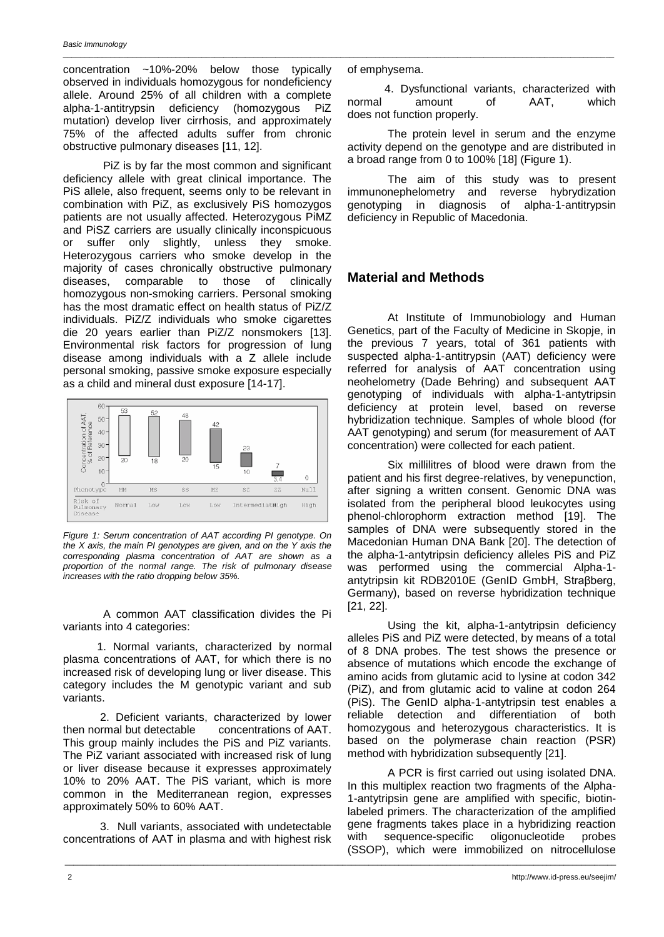#### *Basic Immunology* \_\_\_\_\_\_\_\_\_\_\_\_\_\_\_\_\_\_\_\_\_\_\_\_\_\_\_\_\_\_\_\_\_\_\_\_\_\_\_\_\_\_\_\_\_\_\_\_\_\_\_\_\_\_\_\_\_\_\_\_\_\_\_\_\_\_\_\_\_\_\_\_\_\_\_\_\_\_\_\_\_\_\_\_\_\_\_\_\_\_\_\_\_\_\_\_\_\_\_\_\_\_\_\_\_\_\_\_\_\_\_\_\_\_\_\_\_\_\_\_\_\_\_\_\_\_\_

concentration ~10%-20% below those typically observed in individuals homozygous for nondeficiency allele. Around 25% of all children with a complete alpha-1-antitrypsin deficiency (homozygous PiZ mutation) develop liver cirrhosis, and approximately 75% of the affected adults suffer from chronic obstructive pulmonary diseases [11, 12].

PiZ is by far the most common and significant deficiency allele with great clinical importance. The PiS allele, also frequent, seems only to be relevant in combination with PiZ, as exclusively PiS homozygos patients are not usually affected. Heterozygous PiMZ and PiSZ carriers are usually clinically inconspicuous or suffer only slightly, unless they smoke. Heterozygous carriers who smoke develop in the majority of cases chronically obstructive pulmonary diseases, comparable to those of clinically homozygous non-smoking carriers. Personal smoking has the most dramatic effect on health status of PiZ/Z individuals. PiZ/Z individuals who smoke cigarettes die 20 years earlier than PiZ/Z nonsmokers [13]. Environmental risk factors for progression of lung disease among individuals with a Z allele include personal smoking, passive smoke exposure especially as a child and mineral dust exposure [14-17].



*Figure 1: Serum concentration of AAT according PI genotype. On the X axis, the main PI genotypes are given, and on the Y axis the corresponding plasma concentration of AAT are shown as a proportion of the normal range. The risk of pulmonary disease increases with the ratio dropping below 35%.*

A common AAT classification divides the Pi variants into 4 categories:

 1. Normal variants, characterized by normal plasma concentrations of AAT, for which there is no increased risk of developing lung or liver disease. This category includes the M genotypic variant and sub variants.

 2. Deficient variants, characterized by lower then normal but detectable concentrations of AAT. This group mainly includes the PiS and PiZ variants. The PiZ variant associated with increased risk of lung or liver disease because it expresses approximately 10% to 20% AAT. The PiS variant, which is more common in the Mediterranean region, expresses approximately 50% to 60% AAT.

 3. Null variants, associated with undetectable concentrations of AAT in plasma and with highest risk

\_\_\_\_\_\_\_\_\_\_\_\_\_\_\_\_\_\_\_\_\_\_\_\_\_\_\_\_\_\_\_\_\_\_\_\_\_\_\_\_\_\_\_\_\_\_\_\_\_\_\_\_\_\_\_\_\_\_\_\_\_\_\_\_\_\_\_\_\_\_\_\_\_\_\_\_\_\_\_\_\_\_\_\_\_\_\_\_\_\_\_\_\_\_\_\_\_\_\_\_\_\_\_\_\_\_\_\_\_\_\_\_\_\_\_\_\_\_\_\_\_\_\_\_\_\_\_

of emphysema.

 4. Dysfunctional variants, characterized with normal amount of AAT, which does not function properly.

The protein level in serum and the enzyme activity depend on the genotype and are distributed in a broad range from 0 to 100% [18] (Figure 1).

The aim of this study was to present immunonephelometry and reverse hybrydization genotyping in diagnosis of alpha-1-antitrypsin deficiency in Republic of Macedonia.

# **Material and Methods**

At Institute of Immunobiology and Human Genetics, part of the Faculty of Medicine in Skopje, in the previous 7 years, total of 361 patients with suspected alpha-1-antitrypsin (AAT) deficiency were referred for analysis of AAT concentration using neohelometry (Dade Behring) and subsequent AAT genotyping of individuals with alpha-1-antytripsin deficiency at protein level, based on reverse hybridization technique. Samples of whole blood (for AAT genotyping) and serum (for measurement of AAT concentration) were collected for each patient.

Six millilitres of blood were drawn from the patient and his first degree-relatives, by venepunction, after signing a written consent. Genomic DNA was isolated from the peripheral blood leukocytes using phenol-chlorophorm extraction method [19]. The samples of DNA were subsequently stored in the Macedonian Human DNA Bank [20]. The detection of the alpha-1-antytripsin deficiency alleles PiS and PiZ was performed using the commercial Alpha-1 antytripsin kit RDB2010E (GenID GmbH, Straβberg, Germany), based on reverse hybridization technique [21, 22].

Using the kit, alpha-1-antytripsin deficiency alleles PiS and PiZ were detected, by means of a total of 8 DNA probes. The test shows the presence or absence of mutations which encode the exchange of amino acids from glutamic acid to lysine at codon 342 (PiZ), and from glutamic acid to valine at codon 264 (PiS). The GenID alpha-1-antytripsin test enables a reliable detection and differentiation of both homozygous and heterozygous characteristics. It is based on the polymerase chain reaction (PSR) method with hybridization subsequently [21].

A PCR is first carried out using isolated DNA. In this multiplex reaction two fragments of the Alpha-1-antytripsin gene are amplified with specific, biotinlabeled primers. The characterization of the amplified gene fragments takes place in a hybridizing reaction with sequence-specific oligonucleotide probes (SSOP), which were immobilized on nitrocellulose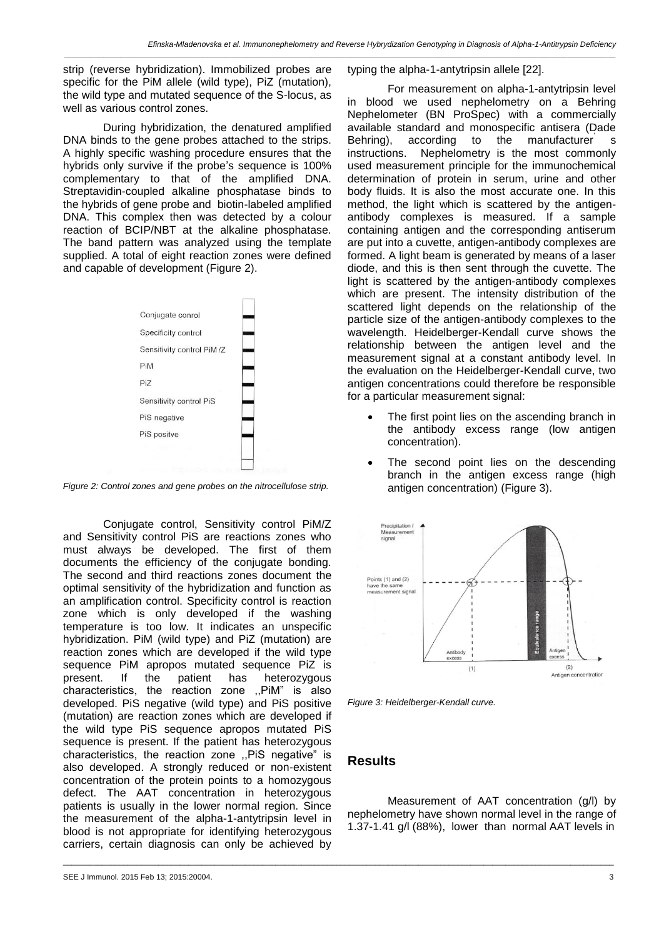*\_\_\_\_\_\_\_\_\_\_\_\_\_\_\_\_\_\_\_\_\_\_\_\_\_\_\_\_\_\_\_\_\_\_\_\_\_\_\_\_\_\_\_\_\_\_\_\_\_\_\_\_\_\_\_\_\_\_\_\_\_\_\_\_\_\_\_\_\_\_\_\_\_\_\_\_\_\_\_\_\_\_\_\_\_\_\_\_\_\_\_\_\_\_\_\_\_\_\_\_\_\_\_\_\_\_\_\_\_\_\_\_\_\_\_\_\_\_\_\_\_\_\_\_\_\_\_*

strip (reverse hybridization). Immobilized probes are specific for the PiM allele (wild type), PiZ (mutation), the wild type and mutated sequence of the S-locus, as well as various control zones.

During hybridization, the denatured amplified DNA binds to the gene probes attached to the strips. A highly specific washing procedure ensures that the hybrids only survive if the probe's sequence is 100% complementary to that of the amplified DNA. Streptavidin-coupled alkaline phosphatase binds to the hybrids of gene probe and biotin-labeled amplified DNA. This complex then was detected by a colour reaction of BCIP/NBT at the alkaline phosphatase. The band pattern was analyzed using the template supplied. A total of eight reaction zones were defined and capable of development (Figure 2).



*Figure 2: Control zones and gene probes on the nitrocellulose strip.*

Conjugate control, Sensitivity control PiM/Z and Sensitivity control PiS are reactions zones who must always be developed. The first of them documents the efficiency of the conjugate bonding. The second and third reactions zones document the optimal sensitivity of the hybridization and function as an amplification control. Specificity control is reaction zone which is only developed if the washing temperature is too low. It indicates an unspecific hybridization. PiM (wild type) and PiZ (mutation) are reaction zones which are developed if the wild type sequence PiM apropos mutated sequence PiZ is present. If the patient has heterozygous characteristics, the reaction zone ,,PiM" is also developed. PiS negative (wild type) and PiS positive (mutation) are reaction zones which are developed if the wild type PiS sequence apropos mutated PiS sequence is present. If the patient has heterozygous characteristics, the reaction zone ,,PiS negative" is also developed. A strongly reduced or non-existent concentration of the protein points to a homozygous defect. The AAT concentration in heterozygous patients is usually in the lower normal region. Since the measurement of the alpha-1-antytripsin level in blood is not appropriate for identifying heterozygous carriers, certain diagnosis can only be achieved by

typing the alpha-1-antytripsin allele [22].

For measurement on alpha-1-antytripsin level in blood we used nephelometry on a Behring Nephelometer (BN ProSpec) with a commercially available standard and monospecific antisera (Dade Behring), according to the manufacturer' s instructions. Nephelometry is the most commonly used measurement principle for the immunochemical determination of protein in serum, urine and other body fluids. It is also the most accurate one. In this method, the light which is scattered by the antigenantibody complexes is measured. If a sample containing antigen and the corresponding antiserum are put into a cuvette, antigen-antibody complexes are formed. A light beam is generated by means of a laser diode, and this is then sent through the cuvette. The light is scattered by the antigen-antibody complexes which are present. The intensity distribution of the scattered light depends on the relationship of the particle size of the antigen-antibody complexes to the wavelength. Heidelberger-Kendall curve shows the relationship between the antigen level and the measurement signal at a constant antibody level. In the evaluation on the Heidelberger-Kendall curve, two antigen concentrations could therefore be responsible for a particular measurement signal:

- The first point lies on the ascending branch in the antibody excess range (low antigen concentration).
- The second point lies on the descending branch in the antigen excess range (high antigen concentration) (Figure 3).



*Figure 3: Heidelberger-Kendall curve.*

## **Results**

\_\_\_\_\_\_\_\_\_\_\_\_\_\_\_\_\_\_\_\_\_\_\_\_\_\_\_\_\_\_\_\_\_\_\_\_\_\_\_\_\_\_\_\_\_\_\_\_\_\_\_\_\_\_\_\_\_\_\_\_\_\_\_\_\_\_\_\_\_\_\_\_\_\_\_\_\_\_\_\_\_\_\_\_\_\_\_\_\_\_\_\_\_\_\_\_\_\_\_\_\_\_\_\_\_\_\_\_\_\_\_\_\_\_\_\_\_\_\_\_\_\_\_\_\_\_\_

Measurement of AAT concentration (g/l) by nephelometry have shown normal level in the range of 1.37-1.41 g/l (88%), lower than normal AAT levels in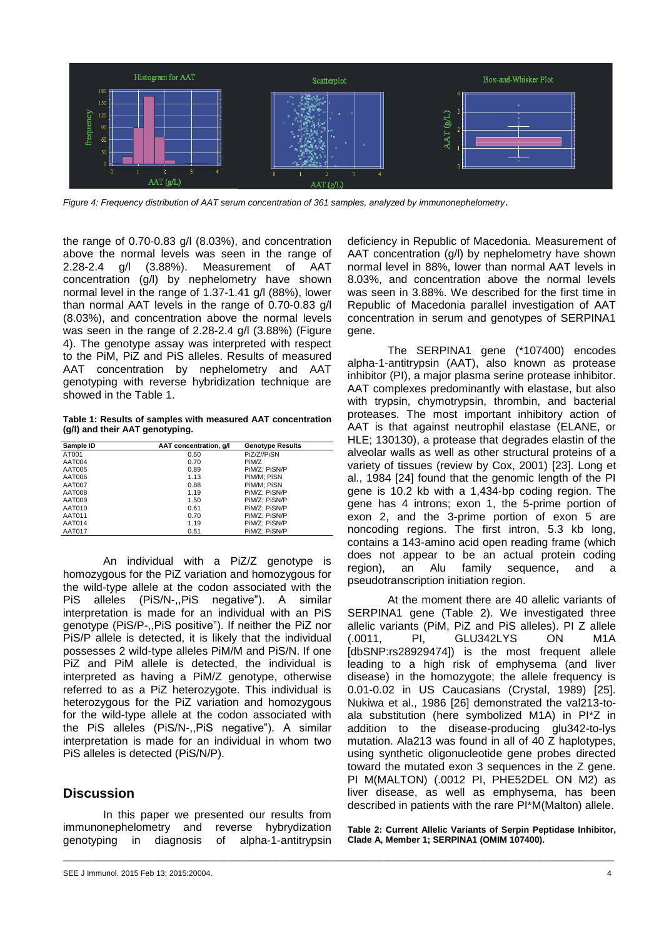

*Figure 4: Frequency distribution of AAT serum concentration of 361 samples, analyzed by immunonephelometry*.

the range of 0.70-0.83 g/l (8.03%), and concentration above the normal levels was seen in the range of 2.28-2.4 g/l (3.88%). Measurement of AAT concentration (g/l) by nephelometry have shown normal level in the range of 1.37-1.41 g/l (88%), lower than normal AAT levels in the range of 0.70-0.83 g/l (8.03%), and concentration above the normal levels was seen in the range of 2.28-2.4 g/l (3.88%) (Figure 4). The genotype assay was interpreted with respect to the PiM, PiZ and PiS alleles. Results of measured AAT concentration by nephelometry and AAT genotyping with reverse hybridization technique are showed in the Table 1.

**Table 1: Results of samples with measured AAT concentration (g/l) and their AAT genotyping.**

| Sample ID     | AAT concentration, g/l | <b>Genotype Results</b> |
|---------------|------------------------|-------------------------|
| AT001         | 0.50                   | PiZ/Z//PiSN             |
| AAT004        | 0.70                   | PiM/Z                   |
| AAT005        | 0.89                   | PiM/Z: PiSN/P           |
| AAT006        | 1.13                   | PiM/M: PiSN             |
| AAT007        | 0.88                   | PiM/M: PiSN             |
| AAT008        | 1.19                   | PiM/Z; PiSN/P           |
| AAT009        | 1.50                   | PiM/Z: PiSN/P           |
| AAT010        | 0.61                   | PiM/Z: PiSN/P           |
| AAT011        | 0.70                   | PiM/Z; PiSN/P           |
| AAT014        | 1.19                   | PiM/Z: PiSN/P           |
| <b>AAT017</b> | 0.51                   | PiM/Z: PiSN/P           |

An individual with a PiZ/Z genotype is homozygous for the PiZ variation and homozygous for the wild-type allele at the codon associated with the PiS alleles (PiS/N-,,PiS negative"). A similar interpretation is made for an individual with an PiS genotype (PiS/P-,,PiS positive"). If neither the PiZ nor PiS/P allele is detected, it is likely that the individual possesses 2 wild-type alleles PiM/M and PiS/N. If one PiZ and PiM allele is detected, the individual is interpreted as having a PiM/Z genotype, otherwise referred to as a PiZ heterozygote. This individual is heterozygous for the PiZ variation and homozygous for the wild-type allele at the codon associated with the PiS alleles (PiS/N-,,PiS negative"). A similar interpretation is made for an individual in whom two PiS alleles is detected (PiS/N/P).

### **Discussion**

In this paper we presented our results from immunonephelometry and reverse hybrydization genotyping in diagnosis of alpha-1-antitrypsin

\_\_\_\_\_\_\_\_\_\_\_\_\_\_\_\_\_\_\_\_\_\_\_\_\_\_\_\_\_\_\_\_\_\_\_\_\_\_\_\_\_\_\_\_\_\_\_\_\_\_\_\_\_\_\_\_\_\_\_\_\_\_\_\_\_\_\_\_\_\_\_\_\_\_\_\_\_\_\_\_\_\_\_\_\_\_\_\_\_\_\_\_\_\_\_\_\_\_\_\_\_\_\_\_\_\_\_\_\_\_\_\_\_\_\_\_\_\_\_\_\_\_\_\_\_\_\_

deficiency in Republic of Macedonia. Measurement of AAT concentration (g/l) by nephelometry have shown normal level in 88%, lower than normal AAT levels in 8.03%, and concentration above the normal levels was seen in 3.88%. We described for the first time in Republic of Macedonia parallel investigation of AAT concentration in serum and genotypes of SERPINA1 gene.

The SERPINA1 gene (\*107400) encodes alpha-1-antitrypsin (AAT), also known as protease inhibitor (PI), a major plasma serine protease inhibitor. AAT complexes predominantly with elastase, but also with trypsin, chymotrypsin, thrombin, and bacterial proteases. The most important inhibitory action of AAT is that against neutrophil elastase (ELANE, or HLE; 130130), a protease that degrades elastin of the alveolar walls as well as other structural proteins of a variety of tissues (review by Cox, 2001) [23]. Long et al., 1984 [24] found that the genomic length of the PI gene is 10.2 kb with a 1,434-bp coding region. The gene has 4 introns; exon 1, the 5-prime portion of exon 2, and the 3-prime portion of exon 5 are noncoding regions. The first intron, 5.3 kb long, contains a 143-amino acid open reading frame (which does not appear to be an actual protein coding region), an Alu family sequence, and a pseudotranscription initiation region.

At the moment there are 40 allelic variants of SERPINA1 gene (Table 2). We investigated three allelic variants (PiM, PiZ and PiS alleles). PI Z allele GLU342LYS ON M1A [dbSNP:rs28929474]) is the most frequent allele leading to a high risk of emphysema (and liver disease) in the homozygote; the allele frequency is 0.01-0.02 in US Caucasians (Crystal, 1989) [25]. Nukiwa et al., 1986 [26] demonstrated the val213-toala substitution (here symbolized M1A) in PI\*Z in addition to the disease-producing glu342-to-lys mutation. Ala213 was found in all of 40 Z haplotypes, using synthetic oligonucleotide gene probes directed toward the mutated exon 3 sequences in the Z gene. PI M(MALTON) (.0012 PI, PHE52DEL ON M2) as liver disease, as well as emphysema, has been described in patients with the rare PI\*M(Malton) allele.

**Table 2: Current Allelic Variants of Serpin Peptidase Inhibitor, Clade A, Member 1; SERPINA1 (OMIM 107400).**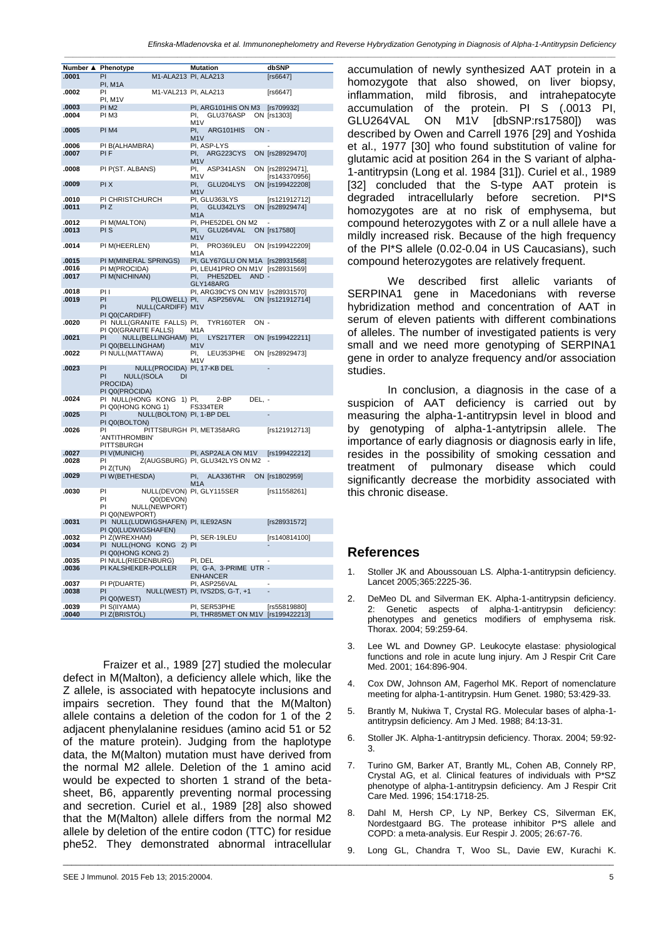*Efinska-Mladenovska et al. Immunonephelometry and Reverse Hybrydization Genotyping in Diagnosis of Alpha-1-Antitrypsin Deficiency*

*\_\_\_\_\_\_\_\_\_\_\_\_\_\_\_\_\_\_\_\_\_\_\_\_\_\_\_\_\_\_\_\_\_\_\_\_\_\_\_\_\_\_\_\_\_\_\_\_\_\_\_\_\_\_\_\_\_\_\_\_\_\_\_\_\_\_\_\_\_\_\_\_\_\_\_\_\_\_\_\_\_\_\_\_\_\_\_\_\_\_\_\_\_\_\_\_\_\_\_\_\_\_\_\_\_\_\_\_\_\_\_\_\_\_\_\_\_\_\_\_\_\_\_\_\_\_\_*

| Number ▲ Phenotype |                                                                                                  | <b>Mutation</b>                              | dbSNP                             |
|--------------------|--------------------------------------------------------------------------------------------------|----------------------------------------------|-----------------------------------|
| .0001              | PI<br>PI, M1A                                                                                    | M1-ALA213 PI, ALA213                         | [rs6647]                          |
| .0002              | PI<br>PI, M1V                                                                                    | M1-VAL213 PI, ALA213                         | [rs6647]                          |
| .0003              | PI <sub>M2</sub>                                                                                 | PI, ARG101HIS ON M3                          | [rs709932]                        |
| .0004              | PI M3                                                                                            | PI,<br>GLU376ASP<br>M <sub>1</sub> V         | ON [rs1303]                       |
| .0005              | PI M4                                                                                            | PI.<br>ARG101HIS<br>ON -<br>M <sub>1</sub> V |                                   |
| .0006              | PI B(ALHAMBRA)                                                                                   | PI, ASP-LYS                                  |                                   |
| .0007              | <b>PIF</b>                                                                                       | PI,<br>ARG223CYS<br>M <sub>1</sub> V         | ON [rs28929470]                   |
| .0008              | PI P(ST. ALBANS)                                                                                 | PI.<br>ASP341ASN<br>M <sub>1</sub> V         | ON [rs28929471],<br>[rs143370956] |
| .0009              | PI X                                                                                             | PI.<br>GLU204LYS<br>M <sub>1</sub> V         | ON [rs199422208]                  |
| .0010              | PI CHRISTCHURCH                                                                                  | PI, GLU363LYS                                | [rs121912712]                     |
| .0011              | PI Z                                                                                             | PI.<br>GLU342LYS<br>M <sub>1</sub> A         | ON [rs28929474]                   |
| .0012              | PI M(MALTON)                                                                                     | PI, PHE52DEL ON M2                           |                                   |
| .0013              | PI S                                                                                             | PI.<br>GLU264VAL<br>M1V                      | ON [rs17580]                      |
| .0014              | PI M(HEERLEN)                                                                                    | PI.<br>PRO369LEU                             | ON [rs199422209]                  |
|                    |                                                                                                  | M1A                                          |                                   |
| .0015              | PI M(MINERAL SPRINGS)                                                                            | PI, GLY67GLU ON M1A [rs28931568]             |                                   |
| .0016              | PI M(PROCIDA)                                                                                    | PI, LEU41PRO ON M1V [rs28931569]             |                                   |
| .0017              | PI M(NICHINAN)                                                                                   | PI.<br>PHE52DEL<br>AND -<br>GLY148ARG        |                                   |
| .0018              | PI I                                                                                             | PI, ARG39CYS ON M1V [rs28931570]             |                                   |
| .0019              | PI<br>P(LOWELL) PI,                                                                              | ASP256VAL                                    | ON [rs121912714]                  |
|                    | PI<br>NULL(CARDIFF) M1V<br>PI Q0(CARDIFF)                                                        |                                              |                                   |
| .0020              | PI NULL(GRANITE FALLS) PI,<br>PI Q0(GRANITE FALLS)                                               | ON-<br>TYR160TER<br>M1A                      |                                   |
| .0021              | NULL(BELLINGHAM) PI,<br>PI<br>PI Q0(BELLINGHAM)                                                  | LYS217TER<br>M <sub>1</sub> V                | ON [rs199422211]                  |
| .0022              | PI NULL(MATTAWA)                                                                                 | PI.<br>LEU353PHE<br>M1V                      | ON [rs28929473]                   |
| .0023              | PI<br>NULL(PROCIDA) PI, 17-KB DEL<br>PI<br><b>NULL(ISOLA</b><br>DI<br>PROCIDA)<br>PI Q0(PROCIDA) |                                              |                                   |
| .0024              | PI NULL(HONG KONG<br>PI Q0(HONG KONG 1)                                                          | 1) PI,<br>2-BP<br>DEL, -<br>FS334TER         |                                   |
| .0025              | PI<br>NULL(BOLTON) PI, 1-BP DEL<br>PI Q0(BOLTON)                                                 |                                              |                                   |
| .0026              | PI<br>'ANTITHROMBIN'<br><b>PITTSBURGH</b>                                                        | PITTSBURGH PI, MET358ARG                     | [rs121912713]                     |
| .0027              | PI V(MUNICH)                                                                                     | PI, ASP2ALA ON M1V                           | [rs199422212]                     |
| .0028              | PI<br>PI Z(TUN)                                                                                  | Z(AUGSBURG) PI, GLU342LYS ON M2              |                                   |
| .0029              | PI W(BETHESDA)                                                                                   | PI.<br>ALA336THR<br>M <sub>1</sub> A         | ON [rs1802959]                    |
| .0030              | PI<br>PI<br>Q0(DEVON)<br>PI<br>NULL(NEWPORT)<br>PI Q0(NEWPORT)                                   | NULL(DEVON) PI, GLY115SER                    | [rs11558261]                      |
| .0031              | PI NULL(LUDWIGSHAFEN) PI, ILE92ASN<br>PI Q0(LUDWIGSHAFEN)                                        |                                              | [rs28931572]                      |
| .0032              | PI Z(WREXHAM)                                                                                    | PI, SER-19LEU                                | [rs140814100]                     |
| .0034              | PI NULL(HONG<br>KONG 2) PI<br>PI Q0(HONG KONG 2)                                                 |                                              |                                   |
| .0035              | PI NULL(RIEDENBURG)                                                                              | PI, DEL                                      |                                   |
| .0036              | PI KALSHEKER-POLLER                                                                              | PI, G-A, 3-PRIME UTR -<br><b>ENHANCER</b>    |                                   |
| .0037              | PI P(DUARTE)                                                                                     | PI, ASP256VAL                                |                                   |
| .0038              | PI                                                                                               | NULL(WEST) PI, IVS2DS, G-T, +1               |                                   |
|                    | PI Q0(WEST)                                                                                      |                                              |                                   |
| .0039              | PI S(IIYAMA)                                                                                     | PI, SER53PHE                                 | [rs55819880]                      |
| .0040              | PI Z(BRISTOL)                                                                                    | PI, THR85MET ON M1V                          | [rs199422213]                     |

Fraizer et al., 1989 [27] studied the molecular defect in M(Malton), a deficiency allele which, like the Z allele, is associated with hepatocyte inclusions and impairs secretion. They found that the M(Malton) allele contains a deletion of the codon for 1 of the 2 adjacent phenylalanine residues (amino acid 51 or 52 of the mature protein). Judging from the haplotype data, the M(Malton) mutation must have derived from the normal M2 allele. Deletion of the 1 amino acid would be expected to shorten 1 strand of the betasheet, B6, apparently preventing normal processing and secretion. Curiel et al., 1989 [28] also showed that the M(Malton) allele differs from the normal M2 allele by deletion of the entire codon (TTC) for residue phe52. They demonstrated abnormal intracellular

accumulation of newly synthesized AAT protein in a homozygote that also showed, on liver biopsy, inflammation, mild fibrosis, and intrahepatocyte accumulation of the protein. PI S (.0013 PI, GLU264VAL ON M1V [dbSNP:rs17580]) was described by Owen and Carrell 1976 [29] and Yoshida et al., 1977 [30] who found substitution of valine for glutamic acid at position 264 in the S variant of alpha-1-antitrypsin (Long et al. 1984 [31]). Curiel et al., 1989 [32] concluded that the S-type AAT protein is degraded intracellularly before secretion. PI\*S homozygotes are at no risk of emphysema, but compound heterozygotes with Z or a null allele have a mildly increased risk. Because of the high frequency of the PI\*S allele (0.02-0.04 in US Caucasians), such compound heterozygotes are relatively frequent.

We described first allelic variants of SERPINA1 gene in Macedonians with reverse hybridization method and concentration of AAT in serum of eleven patients with different combinations of alleles. The number of investigated patients is very small and we need more genotyping of SERPINA1 gene in order to analyze frequency and/or association studies.

In conclusion, a diagnosis in the case of a suspicion of AAT deficiency is carried out by measuring the alpha-1-antitrypsin level in blood and by genotyping of alpha-1-antytripsin allele. The importance of early diagnosis or diagnosis early in life, resides in the possibility of smoking cessation and treatment of pulmonary disease which could significantly decrease the morbidity associated with this chronic disease.

### **References**

\_\_\_\_\_\_\_\_\_\_\_\_\_\_\_\_\_\_\_\_\_\_\_\_\_\_\_\_\_\_\_\_\_\_\_\_\_\_\_\_\_\_\_\_\_\_\_\_\_\_\_\_\_\_\_\_\_\_\_\_\_\_\_\_\_\_\_\_\_\_\_\_\_\_\_\_\_\_\_\_\_\_\_\_\_\_\_\_\_\_\_\_\_\_\_\_\_\_\_\_\_\_\_\_\_\_\_\_\_\_\_\_\_\_\_\_\_\_\_\_\_\_\_\_\_\_\_

- Stoller JK and Aboussouan LS. Alpha-1-antitrypsin deficiency. Lancet 2005;365:2225-36.
- 2. DeMeo DL and Silverman EK. Alpha-1-antitrypsin deficiency. 2: Genetic aspects of alpha-1-antitrypsin deficiency: phenotypes and genetics modifiers of emphysema risk. Thorax. 2004; 59:259-64.
- Lee WL and Downey GP. Leukocyte elastase: physiological functions and role in acute lung injury. Am J Respir Crit Care Med. 2001; 164:896-904.
- 4. Cox DW, Johnson AM, Fagerhol MK. Report of nomenclature meeting for alpha-1-antitrypsin. Hum Genet. 1980; 53:429-33.
- 5. Brantly M, Nukiwa T, Crystal RG. Molecular bases of alpha-1 antitrypsin deficiency. Am J Med. 1988; 84:13-31.
- 6. Stoller JK. Alpha-1-antitrypsin deficiency. Thorax. 2004; 59:92- 3.
- 7. Turino GM, Barker AT, Brantly ML, Cohen AB, Connely RP, Crystal AG, et al. Clinical features of individuals with P\*SZ phenotype of alpha-1-antitrypsin deficiency. Am J Respir Crit Care Med. 1996; 154:1718-25.
- 8. Dahl M, Hersh CP, Ly NP, Berkey CS, Silverman EK, Nordestgaard BG. The protease inhibitor P\*S allele and COPD: a meta-analysis. Eur Respir J. 2005; 26:67-76.
- 9. Long GL, Chandra T, Woo SL, Davie EW, Kurachi K.